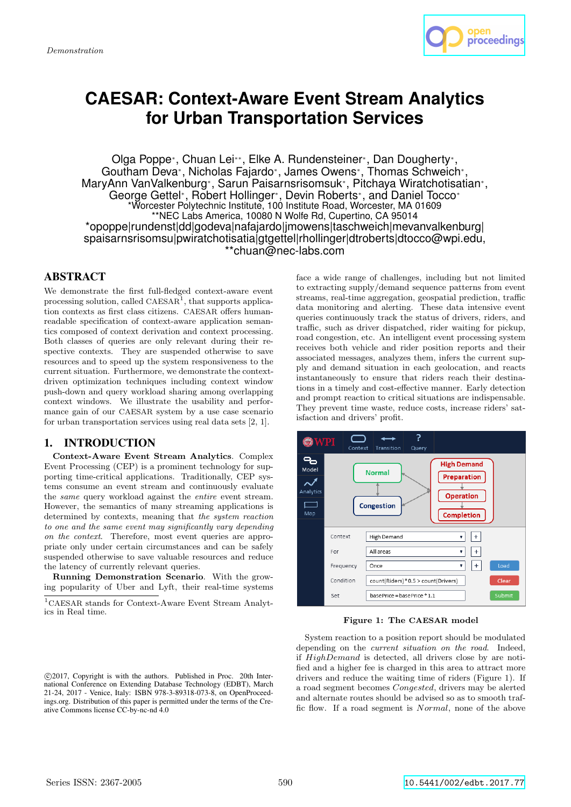

# **CAESAR: Context-Aware Event Stream Analytics for Urban Transportation Services**

Olga Poppe<sup>∗</sup> , Chuan Lei∗∗, Elke A. Rundensteiner<sup>∗</sup> , Dan Dougherty<sup>∗</sup> , Goutham Deva<sup>∗</sup> , Nicholas Fajardo<sup>∗</sup> , James Owens<sup>∗</sup> , Thomas Schweich<sup>∗</sup> , MaryAnn VanValkenburg<sup>∗</sup> , Sarun Paisarnsrisomsuk<sup>∗</sup> , Pitchaya Wiratchotisatian<sup>∗</sup> , George Gettel<sup>∗</sup>, Robert Hollinger<sup>∗</sup>, Devin Roberts<sup>∗</sup>, and Daniel Tocco<sup>∗</sup> \*Worcester Polytechnic Institute, 100 Institute Road, Worcester, MA 01609 \*\*NEC Labs America, 10080 N Wolfe Rd, Cupertino, CA 95014 \*opoppe|rundenst|dd|godeva|nafajardo|jmowens|taschweich|mevanvalkenburg| spaisarnsrisomsu|pwiratchotisatia|gtgettel|rhollinger|dtroberts|dtocco@wpi.edu, \*\*chuan@nec-labs.com

# ABSTRACT

We demonstrate the first full-fledged context-aware event processing solution, called  $CAESAR<sup>1</sup>$ , that supports application contexts as first class citizens. CAESAR offers humanreadable specification of context-aware application semantics composed of context derivation and context processing. Both classes of queries are only relevant during their respective contexts. They are suspended otherwise to save resources and to speed up the system responsiveness to the current situation. Furthermore, we demonstrate the contextdriven optimization techniques including context window push-down and query workload sharing among overlapping context windows. We illustrate the usability and performance gain of our CAESAR system by a use case scenario for urban transportation services using real data sets [2, 1].

## 1. INTRODUCTION

Context-Aware Event Stream Analytics. Complex Event Processing (CEP) is a prominent technology for supporting time-critical applications. Traditionally, CEP systems consume an event stream and continuously evaluate the same query workload against the entire event stream. However, the semantics of many streaming applications is determined by contexts, meaning that the system reaction to one and the same event may significantly vary depending on the context. Therefore, most event queries are appropriate only under certain circumstances and can be safely suspended otherwise to save valuable resources and reduce the latency of currently relevant queries.

Running Demonstration Scenario. With the growing popularity of Uber and Lyft, their real-time systems

<sup>1</sup>CAESAR stands for Context-Aware Event Stream Analytics in Real time.

 c 2017, Copyright is with the authors. Published in Proc. 20th International Conference on Extending Database Technology (EDBT), March 21-24, 2017 - Venice, Italy: ISBN 978-3-89318-073-8, on OpenProceedings.org. Distribution of this paper is permitted under the terms of the Creative Commons license CC-by-nc-nd 4.0

face a wide range of challenges, including but not limited to extracting supply/demand sequence patterns from event streams, real-time aggregation, geospatial prediction, traffic data monitoring and alerting. These data intensive event queries continuously track the status of drivers, riders, and traffic, such as driver dispatched, rider waiting for pickup, road congestion, etc. An intelligent event processing system receives both vehicle and rider position reports and their associated messages, analyzes them, infers the current supply and demand situation in each geolocation, and reacts instantaneously to ensure that riders reach their destinations in a timely and cost-effective manner. Early detection and prompt reaction to critical situations are indispensable. They prevent time waste, reduce costs, increase riders' satisfaction and drivers' profit.



Figure 1: The CAESAR model

System reaction to a position report should be modulated depending on the *current situation on the road*. Indeed, if HighDemand is detected, all drivers close by are notified and a higher fee is charged in this area to attract more drivers and reduce the waiting time of riders (Figure 1). If a road segment becomes Congested, drivers may be alerted and alternate routes should be advised so as to smooth traffic flow. If a road segment is Normal, none of the above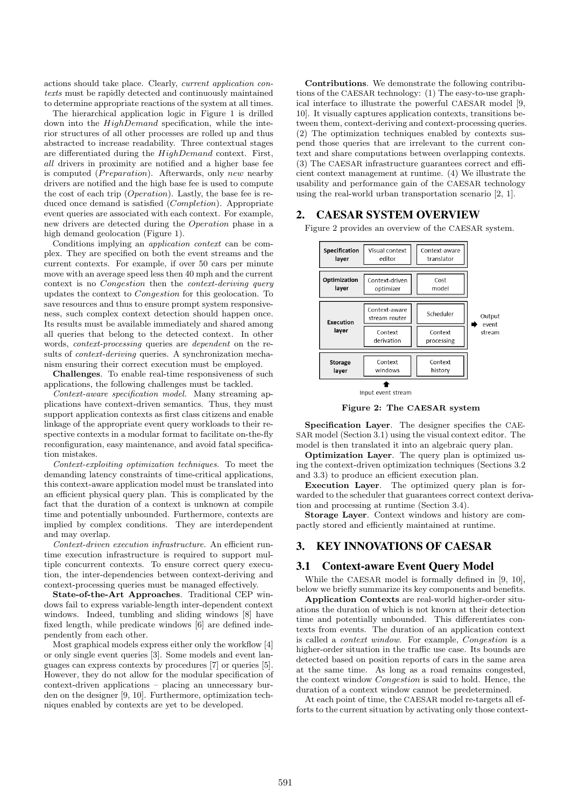actions should take place. Clearly, current application contexts must be rapidly detected and continuously maintained to determine appropriate reactions of the system at all times.

The hierarchical application logic in Figure 1 is drilled down into the *HighDemand* specification, while the interior structures of all other processes are rolled up and thus abstracted to increase readability. Three contextual stages are differentiated during the HighDemand context. First, all drivers in proximity are notified and a higher base fee is computed ( $Preparation$ ). Afterwards, only new nearby drivers are notified and the high base fee is used to compute the cost of each trip (Operation). Lastly, the base fee is reduced once demand is satisfied (*Completion*). Appropriate event queries are associated with each context. For example, new drivers are detected during the Operation phase in a high demand geolocation (Figure 1).

Conditions implying an application context can be complex. They are specified on both the event streams and the current contexts. For example, if over 50 cars per minute move with an average speed less then 40 mph and the current context is no Congestion then the context-deriving query updates the context to Congestion for this geolocation. To save resources and thus to ensure prompt system responsiveness, such complex context detection should happen once. Its results must be available immediately and shared among all queries that belong to the detected context. In other words, context-processing queries are dependent on the results of *context-deriving* queries. A synchronization mechanism ensuring their correct execution must be employed.

Challenges. To enable real-time responsiveness of such applications, the following challenges must be tackled.

Context-aware specification model. Many streaming applications have context-driven semantics. Thus, they must support application contexts as first class citizens and enable linkage of the appropriate event query workloads to their respective contexts in a modular format to facilitate on-the-fly reconfiguration, easy maintenance, and avoid fatal specification mistakes.

Context-exploiting optimization techniques. To meet the demanding latency constraints of time-critical applications, this context-aware application model must be translated into an efficient physical query plan. This is complicated by the fact that the duration of a context is unknown at compile time and potentially unbounded. Furthermore, contexts are implied by complex conditions. They are interdependent and may overlap.

Context-driven execution infrastructure. An efficient runtime execution infrastructure is required to support multiple concurrent contexts. To ensure correct query execution, the inter-dependencies between context-deriving and context-processing queries must be managed effectively.

State-of-the-Art Approaches. Traditional CEP windows fail to express variable-length inter-dependent context windows. Indeed, tumbling and sliding windows [8] have fixed length, while predicate windows [6] are defined independently from each other.

Most graphical models express either only the workflow [4] or only single event queries [3]. Some models and event languages can express contexts by procedures [7] or queries [5]. However, they do not allow for the modular specification of context-driven applications – placing an unnecessary burden on the designer [9, 10]. Furthermore, optimization techniques enabled by contexts are yet to be developed.

Contributions. We demonstrate the following contributions of the CAESAR technology: (1) The easy-to-use graphical interface to illustrate the powerful CAESAR model [9, 10]. It visually captures application contexts, transitions between them, context-deriving and context-processing queries. (2) The optimization techniques enabled by contexts suspend those queries that are irrelevant to the current context and share computations between overlapping contexts. (3) The CAESAR infrastructure guarantees correct and efficient context management at runtime. (4) We illustrate the usability and performance gain of the CAESAR technology using the real-world urban transportation scenario [2, 1].

## 2. CAESAR SYSTEM OVERVIEW

Figure 2 provides an overview of the CAESAR system.



Figure 2: The CAESAR system Specification Layer. The designer specifies the CAE-

SAR model (Section 3.1) using the visual context editor. The model is then translated it into an algebraic query plan.

Optimization Layer. The query plan is optimized using the context-driven optimization techniques (Sections 3.2 and 3.3) to produce an efficient execution plan.

Execution Layer. The optimized query plan is forwarded to the scheduler that guarantees correct context derivation and processing at runtime (Section 3.4).

Storage Layer. Context windows and history are compactly stored and efficiently maintained at runtime.

# 3. KEY INNOVATIONS OF CAESAR

### 3.1 Context-aware Event Query Model

While the CAESAR model is formally defined in [9, 10], below we briefly summarize its key components and benefits.

Application Contexts are real-world higher-order situations the duration of which is not known at their detection time and potentially unbounded. This differentiates contexts from events. The duration of an application context is called a context window. For example, Congestion is a higher-order situation in the traffic use case. Its bounds are detected based on position reports of cars in the same area at the same time. As long as a road remains congested, the context window Congestion is said to hold. Hence, the duration of a context window cannot be predetermined.

At each point of time, the CAESAR model re-targets all efforts to the current situation by activating only those context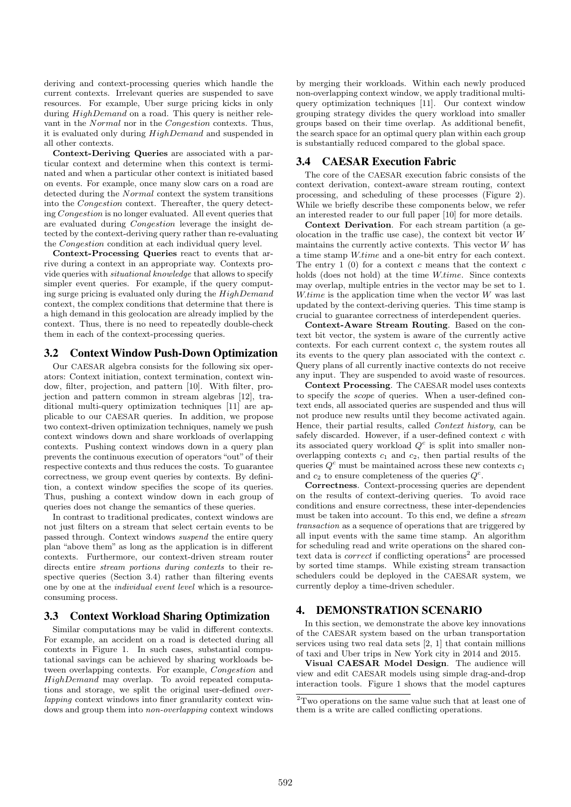deriving and context-processing queries which handle the current contexts. Irrelevant queries are suspended to save resources. For example, Uber surge pricing kicks in only during  $HighDemand$  on a road. This query is neither relevant in the Normal nor in the Congestion contexts. Thus, it is evaluated only during HighDemand and suspended in all other contexts.

Context-Deriving Queries are associated with a particular context and determine when this context is terminated and when a particular other context is initiated based on events. For example, once many slow cars on a road are detected during the Normal context the system transitions into the Congestion context. Thereafter, the query detecting Congestion is no longer evaluated. All event queries that are evaluated during Congestion leverage the insight detected by the context-deriving query rather than re-evaluating the Congestion condition at each individual query level.

Context-Processing Queries react to events that arrive during a context in an appropriate way. Contexts provide queries with situational knowledge that allows to specify simpler event queries. For example, if the query computing surge pricing is evaluated only during the HighDemand context, the complex conditions that determine that there is a high demand in this geolocation are already implied by the context. Thus, there is no need to repeatedly double-check them in each of the context-processing queries.

## 3.2 Context Window Push-Down Optimization

Our CAESAR algebra consists for the following six operators: Context initiation, context termination, context window, filter, projection, and pattern [10]. With filter, projection and pattern common in stream algebras [12], traditional multi-query optimization techniques [11] are applicable to our CAESAR queries. In addition, we propose two context-driven optimization techniques, namely we push context windows down and share workloads of overlapping contexts. Pushing context windows down in a query plan prevents the continuous execution of operators "out" of their respective contexts and thus reduces the costs. To guarantee correctness, we group event queries by contexts. By definition, a context window specifies the scope of its queries. Thus, pushing a context window down in each group of queries does not change the semantics of these queries.

In contrast to traditional predicates, context windows are not just filters on a stream that select certain events to be passed through. Context windows suspend the entire query plan "above them" as long as the application is in different contexts. Furthermore, our context-driven stream router directs entire stream portions during contexts to their respective queries (Section 3.4) rather than filtering events one by one at the individual event level which is a resourceconsuming process.

### 3.3 Context Workload Sharing Optimization

Similar computations may be valid in different contexts. For example, an accident on a road is detected during all contexts in Figure 1. In such cases, substantial computational savings can be achieved by sharing workloads between overlapping contexts. For example, Congestion and HighDemand may overlap. To avoid repeated computations and storage, we split the original user-defined overlapping context windows into finer granularity context windows and group them into non-overlapping context windows

by merging their workloads. Within each newly produced non-overlapping context window, we apply traditional multiquery optimization techniques [11]. Our context window grouping strategy divides the query workload into smaller groups based on their time overlap. As additional benefit, the search space for an optimal query plan within each group is substantially reduced compared to the global space.

## 3.4 CAESAR Execution Fabric

The core of the CAESAR execution fabric consists of the context derivation, context-aware stream routing, context processing, and scheduling of these processes (Figure 2). While we briefly describe these components below, we refer an interested reader to our full paper [10] for more details.

Context Derivation. For each stream partition (a geolocation in the traffic use case), the context bit vector  $W$ maintains the currently active contexts. This vector  $W$  has a time stamp W.time and a one-bit entry for each context. The entry 1  $(0)$  for a context c means that the context c holds (does not hold) at the time W.time. Since contexts may overlap, multiple entries in the vector may be set to 1. W.time is the application time when the vector  $W$  was last updated by the context-deriving queries. This time stamp is crucial to guarantee correctness of interdependent queries.

Context-Aware Stream Routing. Based on the context bit vector, the system is aware of the currently active contexts. For each current context c, the system routes all its events to the query plan associated with the context  $c$ . Query plans of all currently inactive contexts do not receive any input. They are suspended to avoid waste of resources.

Context Processing. The CAESAR model uses contexts to specify the scope of queries. When a user-defined context ends, all associated queries are suspended and thus will not produce new results until they become activated again. Hence, their partial results, called Context history, can be safely discarded. However, if a user-defined context  $c$  with its associated query workload  $Q<sup>c</sup>$  is split into smaller nonoverlapping contexts  $c_1$  and  $c_2$ , then partial results of the queries  $Q^c$  must be maintained across these new contexts  $c_1$ and  $c_2$  to ensure completeness of the queries  $Q^c$ .

Correctness. Context-processing queries are dependent on the results of context-deriving queries. To avoid race conditions and ensure correctness, these inter-dependencies must be taken into account. To this end, we define a stream transaction as a sequence of operations that are triggered by all input events with the same time stamp. An algorithm for scheduling read and write operations on the shared context data is *correct* if conflicting operations<sup>2</sup> are processed by sorted time stamps. While existing stream transaction schedulers could be deployed in the CAESAR system, we currently deploy a time-driven scheduler.

### 4. DEMONSTRATION SCENARIO

In this section, we demonstrate the above key innovations of the CAESAR system based on the urban transportation services using two real data sets [2, 1] that contain millions of taxi and Uber trips in New York city in 2014 and 2015.

Visual CAESAR Model Design. The audience will view and edit CAESAR models using simple drag-and-drop interaction tools. Figure 1 shows that the model captures

 $\rm{^2Two}$  operations on the same value such that at least one of them is a write are called conflicting operations.